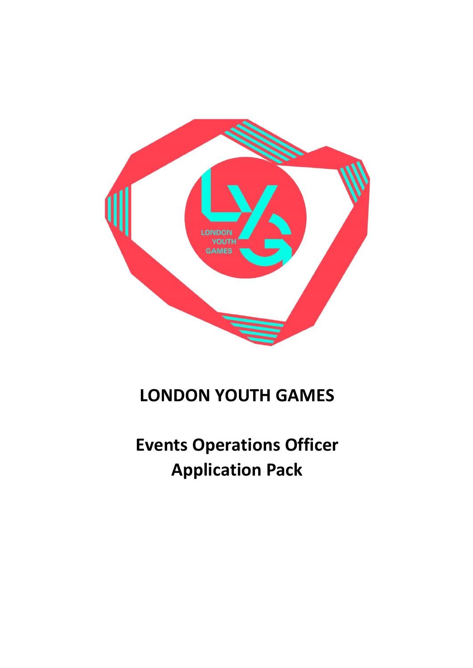

## **LONDON YOUTH GAMES**

# **Events Operations Officer Application Pack**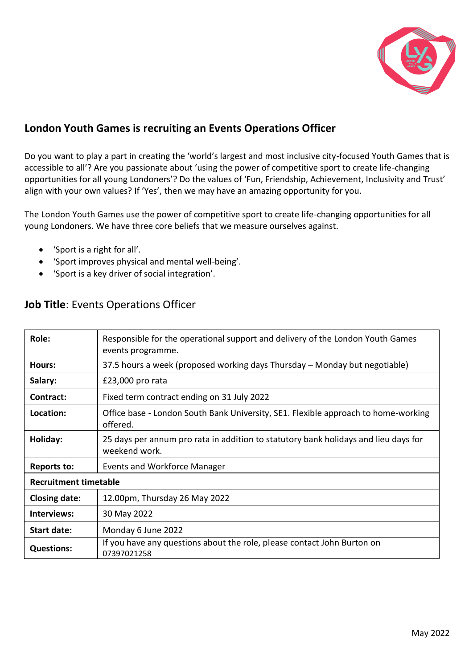

## **London Youth Games is recruiting an Events Operations Officer**

Do you want to play a part in creating the 'world's largest and most inclusive city-focused Youth Games that is accessible to all'? Are you passionate about 'using the power of competitive sport to create life-changing opportunities for all young Londoners'? Do the values of 'Fun, Friendship, Achievement, Inclusivity and Trust' align with your own values? If 'Yes', then we may have an amazing opportunity for you.

The London Youth Games use the power of competitive sport to create life-changing opportunities for all young Londoners. We have three core beliefs that we measure ourselves against.

- 'Sport is a right for all'.
- 'Sport improves physical and mental well-being'.
- 'Sport is a key driver of social integration'.

| Role:                        | Responsible for the operational support and delivery of the London Youth Games<br>events programme.  |
|------------------------------|------------------------------------------------------------------------------------------------------|
| Hours:                       | 37.5 hours a week (proposed working days Thursday – Monday but negotiable)                           |
| Salary:                      | £23,000 pro rata                                                                                     |
| Contract:                    | Fixed term contract ending on 31 July 2022                                                           |
| Location:                    | Office base - London South Bank University, SE1. Flexible approach to home-working<br>offered.       |
| Holiday:                     | 25 days per annum pro rata in addition to statutory bank holidays and lieu days for<br>weekend work. |
| <b>Reports to:</b>           | <b>Events and Workforce Manager</b>                                                                  |
| <b>Recruitment timetable</b> |                                                                                                      |
| <b>Closing date:</b>         | 12.00pm, Thursday 26 May 2022                                                                        |
| Interviews:                  | 30 May 2022                                                                                          |
| Start date:                  | Monday 6 June 2022                                                                                   |
| <b>Questions:</b>            | If you have any questions about the role, please contact John Burton on<br>07397021258               |

## **Job Title**: Events Operations Officer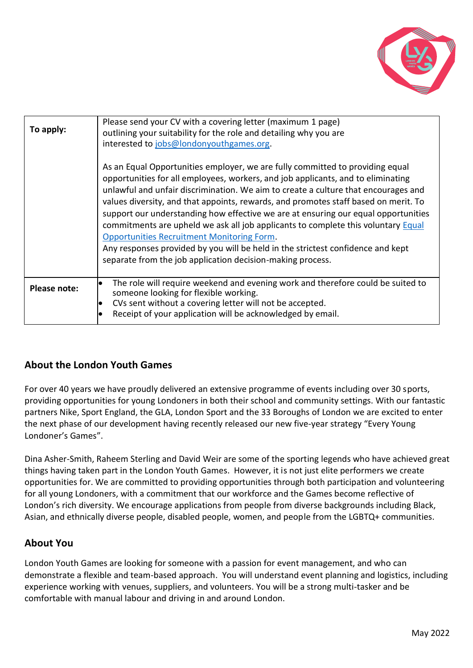

| To apply:    | Please send your CV with a covering letter (maximum 1 page)<br>outlining your suitability for the role and detailing why you are<br>interested to jobs@londonyouthgames.org.                                                                                                                                                                                                                                                                                                                                                                                                                                                                                                                                                    |
|--------------|---------------------------------------------------------------------------------------------------------------------------------------------------------------------------------------------------------------------------------------------------------------------------------------------------------------------------------------------------------------------------------------------------------------------------------------------------------------------------------------------------------------------------------------------------------------------------------------------------------------------------------------------------------------------------------------------------------------------------------|
|              | As an Equal Opportunities employer, we are fully committed to providing equal<br>opportunities for all employees, workers, and job applicants, and to eliminating<br>unlawful and unfair discrimination. We aim to create a culture that encourages and<br>values diversity, and that appoints, rewards, and promotes staff based on merit. To<br>support our understanding how effective we are at ensuring our equal opportunities<br>commitments are upheld we ask all job applicants to complete this voluntary Equal<br><b>Opportunities Recruitment Monitoring Form.</b><br>Any responses provided by you will be held in the strictest confidence and kept<br>separate from the job application decision-making process. |
| Please note: | The role will require weekend and evening work and therefore could be suited to<br>$\bullet$<br>someone looking for flexible working.<br>CVs sent without a covering letter will not be accepted.<br>Receipt of your application will be acknowledged by email.                                                                                                                                                                                                                                                                                                                                                                                                                                                                 |

## **About the London Youth Games**

For over 40 years we have proudly delivered an extensive programme of events including over 30 sports, providing opportunities for young Londoners in both their school and community settings. With our fantastic partners Nike, Sport England, the GLA, London Sport and the 33 Boroughs of London we are excited to enter the next phase of our development having recently released our new five-year strategy "Every Young Londoner's Games".

Dina Asher-Smith, Raheem Sterling and David Weir are some of the sporting legends who have achieved great things having taken part in the London Youth Games. However, it is not just elite performers we create opportunities for. We are committed to providing opportunities through both participation and volunteering for all young Londoners, with a commitment that our workforce and the Games become reflective of London's rich diversity. We encourage applications from people from diverse backgrounds including Black, Asian, and ethnically diverse people, disabled people, women, and people from the LGBTQ+ communities.

#### **About You**

London Youth Games are looking for someone with a passion for event management, and who can demonstrate a flexible and team-based approach. You will understand event planning and logistics, including experience working with venues, suppliers, and volunteers. You will be a strong multi-tasker and be comfortable with manual labour and driving in and around London.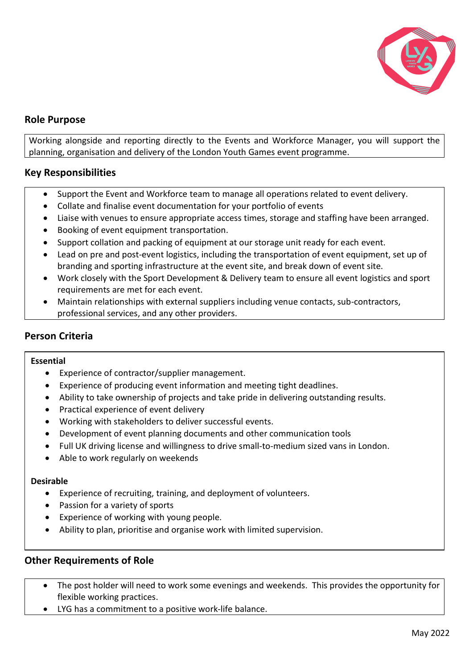

#### **Role Purpose**

Working alongside and reporting directly to the Events and Workforce Manager, you will support the planning, organisation and delivery of the London Youth Games event programme.

#### **Key Responsibilities**

- Support the Event and Workforce team to manage all operations related to event delivery.
- Collate and finalise event documentation for your portfolio of events
- Liaise with venues to ensure appropriate access times, storage and staffing have been arranged.
- Booking of event equipment transportation.
- Support collation and packing of equipment at our storage unit ready for each event.
- Lead on pre and post-event logistics, including the transportation of event equipment, set up of branding and sporting infrastructure at the event site, and break down of event site.
- Work closely with the Sport Development & Delivery team to ensure all event logistics and sport requirements are met for each event.
- Maintain relationships with external suppliers including venue contacts, sub-contractors, professional services, and any other providers.

#### **Person Criteria**

#### **Essential**

- Experience of contractor/supplier management.
- Experience of producing event information and meeting tight deadlines.
- Ability to take ownership of projects and take pride in delivering outstanding results.
- Practical experience of event delivery
- Working with stakeholders to deliver successful events.
- Development of event planning documents and other communication tools
- Full UK driving license and willingness to drive small-to-medium sized vans in London.
- Able to work regularly on weekends

#### **Desirable**

- Experience of recruiting, training, and deployment of volunteers.
- Passion for a variety of sports
- Experience of working with young people.
- Ability to plan, prioritise and organise work with limited supervision.

#### **Other Requirements of Role**

- The post holder will need to work some evenings and weekends. This provides the opportunity for flexible working practices.
- LYG has a commitment to a positive work-life balance.